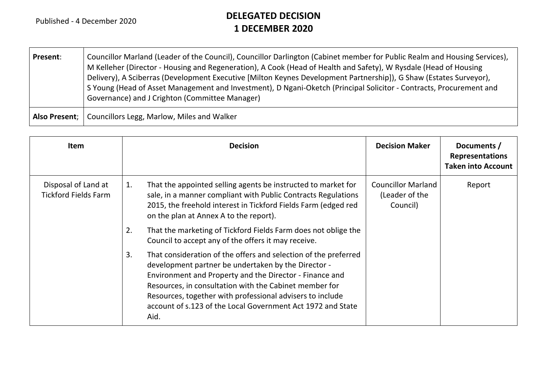r.

## **DELEGATED DECISION 1 DECEMBER 2020**

| Present:      | Councillor Marland (Leader of the Council), Councillor Darlington (Cabinet member for Public Realm and Housing Services),<br>M Kelleher (Director - Housing and Regeneration), A Cook (Head of Health and Safety), W Rysdale (Head of Housing<br>Delivery), A Sciberras (Development Executive [Milton Keynes Development Partnership]), G Shaw (Estates Surveyor),<br>S Young (Head of Asset Management and Investment), D Ngani-Oketch (Principal Solicitor - Contracts, Procurement and<br>Governance) and J Crighton (Committee Manager) |
|---------------|----------------------------------------------------------------------------------------------------------------------------------------------------------------------------------------------------------------------------------------------------------------------------------------------------------------------------------------------------------------------------------------------------------------------------------------------------------------------------------------------------------------------------------------------|
| Also Present: | Councillors Legg, Marlow, Miles and Walker                                                                                                                                                                                                                                                                                                                                                                                                                                                                                                   |

| <b>Item</b>                                        | <b>Decision</b>                                                                                                                                                                                                                                                                                                                                                                       | <b>Decision Maker</b>                                   | Documents /<br><b>Representations</b><br><b>Taken into Account</b> |
|----------------------------------------------------|---------------------------------------------------------------------------------------------------------------------------------------------------------------------------------------------------------------------------------------------------------------------------------------------------------------------------------------------------------------------------------------|---------------------------------------------------------|--------------------------------------------------------------------|
| Disposal of Land at<br><b>Tickford Fields Farm</b> | That the appointed selling agents be instructed to market for<br>1.<br>sale, in a manner compliant with Public Contracts Regulations<br>2015, the freehold interest in Tickford Fields Farm (edged red<br>on the plan at Annex A to the report).                                                                                                                                      | <b>Councillor Marland</b><br>(Leader of the<br>Council) | Report                                                             |
|                                                    | That the marketing of Tickford Fields Farm does not oblige the<br>2.<br>Council to accept any of the offers it may receive.                                                                                                                                                                                                                                                           |                                                         |                                                                    |
|                                                    | That consideration of the offers and selection of the preferred<br>3.<br>development partner be undertaken by the Director -<br>Environment and Property and the Director - Finance and<br>Resources, in consultation with the Cabinet member for<br>Resources, together with professional advisers to include<br>account of s.123 of the Local Government Act 1972 and State<br>Aid. |                                                         |                                                                    |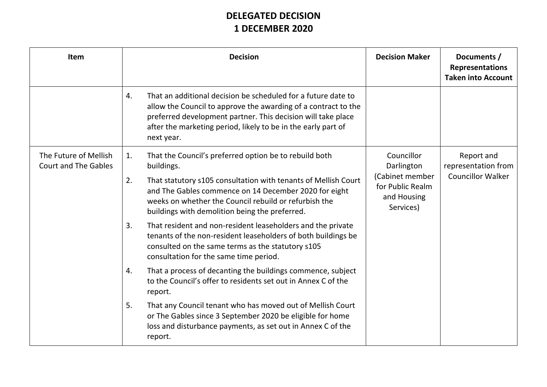## **DELEGATED DECISION 1 DECEMBER 2020**

| <b>Item</b>                                          | <b>Decision</b>                                                                                                                                                                                                                                                                      | <b>Decision Maker</b>                                           | Documents /<br><b>Representations</b><br><b>Taken into Account</b> |
|------------------------------------------------------|--------------------------------------------------------------------------------------------------------------------------------------------------------------------------------------------------------------------------------------------------------------------------------------|-----------------------------------------------------------------|--------------------------------------------------------------------|
|                                                      | That an additional decision be scheduled for a future date to<br>4.<br>allow the Council to approve the awarding of a contract to the<br>preferred development partner. This decision will take place<br>after the marketing period, likely to be in the early part of<br>next year. |                                                                 |                                                                    |
| The Future of Mellish<br><b>Court and The Gables</b> | That the Council's preferred option be to rebuild both<br>1.<br>buildings.                                                                                                                                                                                                           | Councillor<br>Darlington                                        | Report and<br>representation from                                  |
|                                                      | That statutory s105 consultation with tenants of Mellish Court<br>2.<br>and The Gables commence on 14 December 2020 for eight<br>weeks on whether the Council rebuild or refurbish the<br>buildings with demolition being the preferred.                                             | (Cabinet member<br>for Public Realm<br>and Housing<br>Services) | <b>Councillor Walker</b>                                           |
|                                                      | 3.<br>That resident and non-resident leaseholders and the private<br>tenants of the non-resident leaseholders of both buildings be<br>consulted on the same terms as the statutory s105<br>consultation for the same time period.                                                    |                                                                 |                                                                    |
|                                                      | That a process of decanting the buildings commence, subject<br>4.<br>to the Council's offer to residents set out in Annex C of the<br>report.                                                                                                                                        |                                                                 |                                                                    |
|                                                      | 5.<br>That any Council tenant who has moved out of Mellish Court<br>or The Gables since 3 September 2020 be eligible for home<br>loss and disturbance payments, as set out in Annex C of the<br>report.                                                                              |                                                                 |                                                                    |